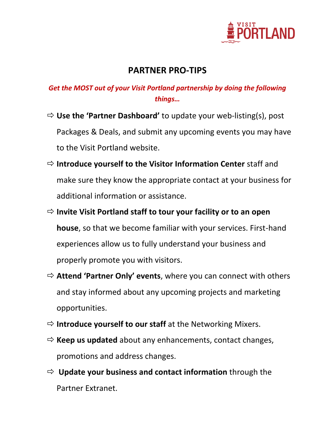

## **PARTNER PRO-TIPS**

## *Get the MOST out of your Visit Portland partnership by doing the following things…*

- **Use the 'Partner Dashboard'** to update your web-listing(s), post Packages & Deals, and submit any upcoming events you may have to the Visit Portland website.
- **Introduce yourself to the Visitor Information Center** staff and make sure they know the appropriate contact at your business for additional information or assistance.
- **Invite Visit Portland staff to tour your facility or to an open house**, so that we become familiar with your services. First-hand experiences allow us to fully understand your business and properly promote you with visitors.
- **Attend 'Partner Only' events**, where you can connect with others and stay informed about any upcoming projects and marketing opportunities.
- **Introduce yourself to our staff** at the Networking Mixers.
- $\Rightarrow$  **Keep us updated** about any enhancements, contact changes, promotions and address changes.
- **Update your business and contact information** through the Partner Extranet.